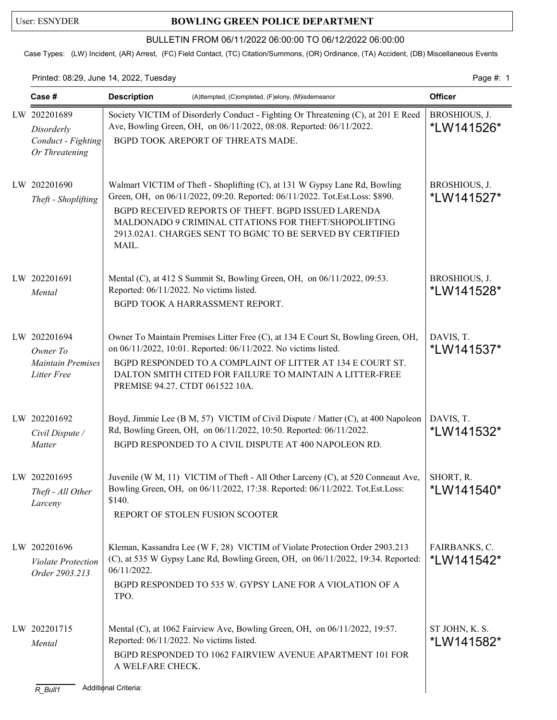## User: ESNYDER **BOWLING GREEN POLICE DEPARTMENT**

## BULLETIN FROM 06/11/2022 06:00:00 TO 06/12/2022 06:00:00

Case Types: (LW) Incident, (AR) Arrest, (FC) Field Contact, (TC) Citation/Summons, (OR) Ordinance, (TA) Accident, (DB) Miscellaneous Events

Printed: 08:29, June 14, 2022, Tuesday Page #: 1

| Case #                                                                     | <b>Description</b>                                                                   | (A)ttempted, (C)ompleted, (F)elony, (M)isdemeanor                                                                                                                                                                                                                                                                                      | <b>Officer</b>               |
|----------------------------------------------------------------------------|--------------------------------------------------------------------------------------|----------------------------------------------------------------------------------------------------------------------------------------------------------------------------------------------------------------------------------------------------------------------------------------------------------------------------------------|------------------------------|
| LW 202201689<br>Disorderly<br>Conduct - Fighting<br>Or Threatening         |                                                                                      | Society VICTIM of Disorderly Conduct - Fighting Or Threatening (C), at 201 E Reed<br>Ave, Bowling Green, OH, on 06/11/2022, 08:08. Reported: 06/11/2022.<br>BGPD TOOK AREPORT OF THREATS MADE.                                                                                                                                         | BROSHIOUS, J.<br>*LW141526*  |
| LW 202201690<br>Theft - Shoplifting                                        | MAIL.                                                                                | Walmart VICTIM of Theft - Shoplifting (C), at 131 W Gypsy Lane Rd, Bowling<br>Green, OH, on 06/11/2022, 09:20. Reported: 06/11/2022. Tot.Est.Loss: \$890.<br>BGPD RECEIVED REPORTS OF THEFT. BGPD ISSUED LARENDA<br>MALDONADO 9 CRIMINAL CITATIONS FOR THEFT/SHOPOLIFTING<br>2913.02A1. CHARGES SENT TO BGMC TO BE SERVED BY CERTIFIED | BROSHIOUS, J.<br>*LW141527*  |
| LW 202201691<br>Mental                                                     | Reported: 06/11/2022. No victims listed.                                             | Mental (C), at 412 S Summit St, Bowling Green, OH, on 06/11/2022, 09:53.<br>BGPD TOOK A HARRASSMENT REPORT.                                                                                                                                                                                                                            | BROSHIOUS, J.<br>*LW141528*  |
| LW 202201694<br>Owner To<br><b>Maintain Premises</b><br><b>Litter Free</b> | PREMISE 94.27. CTDT 061522 10A.                                                      | Owner To Maintain Premises Litter Free (C), at 134 E Court St, Bowling Green, OH,<br>on 06/11/2022, 10:01. Reported: 06/11/2022. No victims listed.<br>BGPD RESPONDED TO A COMPLAINT OF LITTER AT 134 E COURT ST.<br>DALTON SMITH CITED FOR FAILURE TO MAINTAIN A LITTER-FREE                                                          | DAVIS, T.<br>*LW141537*      |
| LW 202201692<br>Civil Dispute /<br>Matter                                  |                                                                                      | Boyd, Jimmie Lee (B M, 57) VICTIM of Civil Dispute / Matter (C), at 400 Napoleon<br>Rd, Bowling Green, OH, on 06/11/2022, 10:50. Reported: 06/11/2022.<br>BGPD RESPONDED TO A CIVIL DISPUTE AT 400 NAPOLEON RD.                                                                                                                        | DAVIS, T.<br>*LW141532*      |
| LW 202201695<br>Theft - All Other<br>Larceny                               | \$140.<br>REPORT OF STOLEN FUSION SCOOTER                                            | Juvenile (W M, 11) VICTIM of Theft - All Other Larceny (C), at 520 Conneaut Ave,<br>Bowling Green, OH, on 06/11/2022, 17:38. Reported: 06/11/2022. Tot.Est.Loss:                                                                                                                                                                       | SHORT, R.<br>*LW141540*      |
| LW 202201696<br><b>Violate Protection</b><br>Order 2903.213                | 06/11/2022.<br>TPO.                                                                  | Kleman, Kassandra Lee (W F, 28) VICTIM of Violate Protection Order 2903.213<br>(C), at 535 W Gypsy Lane Rd, Bowling Green, OH, on 06/11/2022, 19:34. Reported:<br>BGPD RESPONDED TO 535 W. GYPSY LANE FOR A VIOLATION OF A                                                                                                             | FAIRBANKS, C.<br>*LW141542*  |
| LW 202201715<br>Mental<br>$R_B$ ull1                                       | Reported: 06/11/2022. No victims listed.<br>A WELFARE CHECK.<br>Additional Criteria: | Mental (C), at 1062 Fairview Ave, Bowling Green, OH, on 06/11/2022, 19:57.<br>BGPD RESPONDED TO 1062 FAIRVIEW AVENUE APARTMENT 101 FOR                                                                                                                                                                                                 | ST JOHN, K. S.<br>*LW141582* |